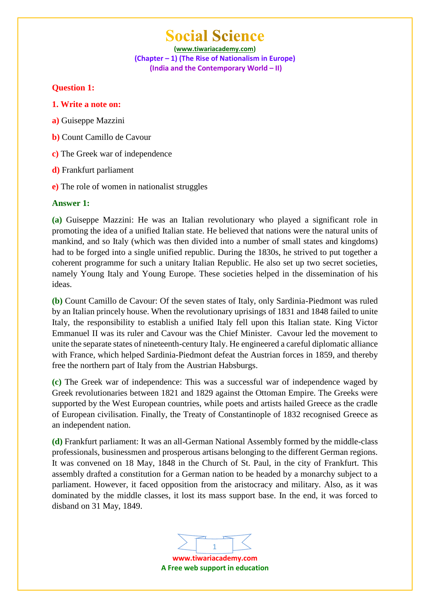**(www.tiwariacademy.com) (Chapter – 1) (The Rise of Nationalism in Europe) (India and the Contemporary World – II)**

### **Question 1:**

- **1. Write a note on:**
- **a)** Guiseppe Mazzini
- **b)** Count Camillo de Cavour
- **c)** The Greek war of independence
- **d)** Frankfurt parliament
- **e)** The role of women in nationalist struggles

### **Answer 1:**

**(a)** Guiseppe Mazzini: He was an Italian revolutionary who played a significant role in promoting the idea of a unified Italian state. He believed that nations were the natural units of mankind, and so Italy (which was then divided into a number of small states and kingdoms) had to be forged into a single unified republic. During the 1830s, he strived to put together a coherent programme for such a unitary Italian Republic. He also set up two secret societies, namely Young Italy and Young Europe. These societies helped in the dissemination of his ideas.

**(b)** Count Camillo de Cavour: Of the seven states of Italy, only Sardinia-Piedmont was ruled by an Italian princely house. When the revolutionary uprisings of 1831 and 1848 failed to unite Italy, the responsibility to establish a unified Italy fell upon this Italian state. King Victor Emmanuel II was its ruler and Cavour was the Chief Minister. Cavour led the movement to unite the separate states of nineteenth-century Italy. He engineered a careful diplomatic alliance with France, which helped Sardinia-Piedmont defeat the Austrian forces in 1859, and thereby free the northern part of Italy from the Austrian Habsburgs.

**(c)** The Greek war of independence: This was a successful war of independence waged by Greek revolutionaries between 1821 and 1829 against the Ottoman Empire. The Greeks were supported by the West European countries, while poets and artists hailed Greece as the cradle of European civilisation. Finally, the Treaty of Constantinople of 1832 recognised Greece as an independent nation.

**(d)** Frankfurt parliament: It was an all-German National Assembly formed by the middle-class professionals, businessmen and prosperous artisans belonging to the different German regions. It was convened on 18 May, 1848 in the Church of St. Paul, in the city of Frankfurt. This assembly drafted a constitution for a German nation to be headed by a monarchy subject to a parliament. However, it faced opposition from the aristocracy and military. Also, as it was dominated by the middle classes, it lost its mass support base. In the end, it was forced to disband on 31 May, 1849.

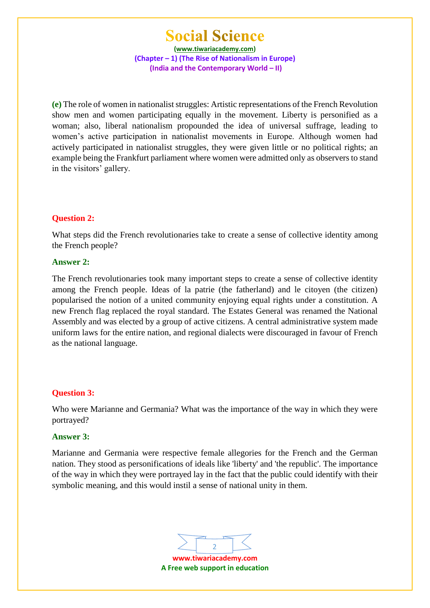**(www.tiwariacademy.com) (Chapter – 1) (The Rise of Nationalism in Europe) (India and the Contemporary World – II)**

**(e)** The role of women in nationalist struggles: Artistic representations of the French Revolution show men and women participating equally in the movement. Liberty is personified as a woman; also, liberal nationalism propounded the idea of universal suffrage, leading to women's active participation in nationalist movements in Europe. Although women had actively participated in nationalist struggles, they were given little or no political rights; an example being the Frankfurt parliament where women were admitted only as observers to stand in the visitors' gallery.

#### **Question 2:**

What steps did the French revolutionaries take to create a sense of collective identity among the French people?

#### **Answer 2:**

The French revolutionaries took many important steps to create a sense of collective identity among the French people. Ideas of la patrie (the fatherland) and le citoyen (the citizen) popularised the notion of a united community enjoying equal rights under a constitution. A new French flag replaced the royal standard. The Estates General was renamed the National Assembly and was elected by a group of active citizens. A central administrative system made uniform laws for the entire nation, and regional dialects were discouraged in favour of French as the national language.

#### **Question 3:**

Who were Marianne and Germania? What was the importance of the way in which they were portrayed?

#### **Answer 3:**

Marianne and Germania were respective female allegories for the French and the German nation. They stood as personifications of ideals like 'liberty' and 'the republic'. The importance of the way in which they were portrayed lay in the fact that the public could identify with their symbolic meaning, and this would instil a sense of national unity in them.

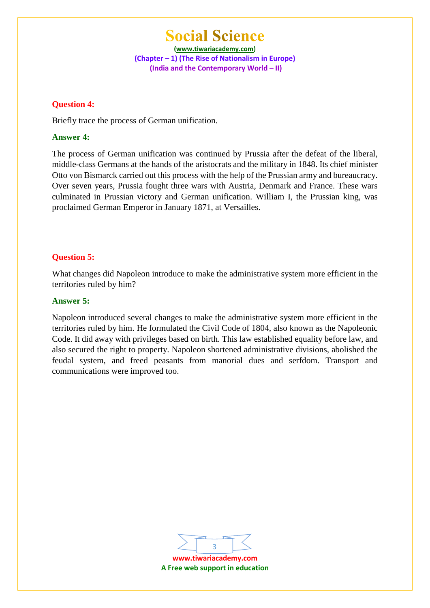**(www.tiwariacademy.com) (Chapter – 1) (The Rise of Nationalism in Europe) (India and the Contemporary World – II)**

#### **Question 4:**

Briefly trace the process of German unification.

### **Answer 4:**

The process of German unification was continued by Prussia after the defeat of the liberal, middle-class Germans at the hands of the aristocrats and the military in 1848. Its chief minister Otto von Bismarck carried out this process with the help of the Prussian army and bureaucracy. Over seven years, Prussia fought three wars with Austria, Denmark and France. These wars culminated in Prussian victory and German unification. William I, the Prussian king, was proclaimed German Emperor in January 1871, at Versailles.

### **Question 5:**

What changes did Napoleon introduce to make the administrative system more efficient in the territories ruled by him?

#### **Answer 5:**

Napoleon introduced several changes to make the administrative system more efficient in the territories ruled by him. He formulated the Civil Code of 1804, also known as the Napoleonic Code. It did away with privileges based on birth. This law established equality before law, and also secured the right to property. Napoleon shortened administrative divisions, abolished the feudal system, and freed peasants from manorial dues and serfdom. Transport and communications were improved too.



**A Free web support in education**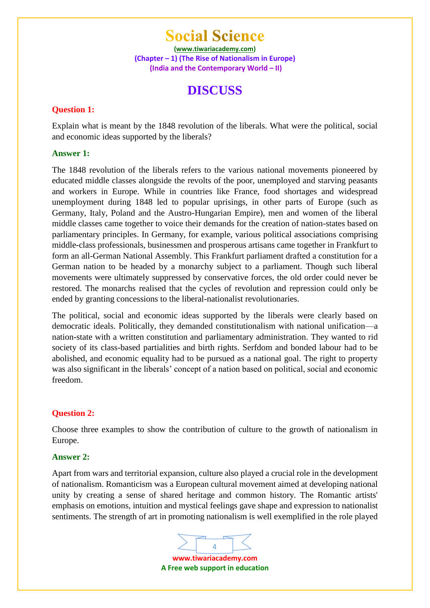**(www.tiwariacademy.com) (Chapter – 1) (The Rise of Nationalism in Europe) (India and the Contemporary World – II)**

### **DISCUSS**

### **Question 1:**

Explain what is meant by the 1848 revolution of the liberals. What were the political, social and economic ideas supported by the liberals?

#### **Answer 1:**

The 1848 revolution of the liberals refers to the various national movements pioneered by educated middle classes alongside the revolts of the poor, unemployed and starving peasants and workers in Europe. While in countries like France, food shortages and widespread unemployment during 1848 led to popular uprisings, in other parts of Europe (such as Germany, Italy, Poland and the Austro-Hungarian Empire), men and women of the liberal middle classes came together to voice their demands for the creation of nation-states based on parliamentary principles. In Germany, for example, various political associations comprising middle-class professionals, businessmen and prosperous artisans came together in Frankfurt to form an all-German National Assembly. This Frankfurt parliament drafted a constitution for a German nation to be headed by a monarchy subject to a parliament. Though such liberal movements were ultimately suppressed by conservative forces, the old order could never be restored. The monarchs realised that the cycles of revolution and repression could only be ended by granting concessions to the liberal-nationalist revolutionaries.

The political, social and economic ideas supported by the liberals were clearly based on democratic ideals. Politically, they demanded constitutionalism with national unification—a nation-state with a written constitution and parliamentary administration. They wanted to rid society of its class-based partialities and birth rights. Serfdom and bonded labour had to be abolished, and economic equality had to be pursued as a national goal. The right to property was also significant in the liberals' concept of a nation based on political, social and economic freedom.

#### **Question 2:**

Choose three examples to show the contribution of culture to the growth of nationalism in Europe.

#### **Answer 2:**

Apart from wars and territorial expansion, culture also played a crucial role in the development of nationalism. Romanticism was a European cultural movement aimed at developing national unity by creating a sense of shared heritage and common history. The Romantic artists' emphasis on emotions, intuition and mystical feelings gave shape and expression to nationalist sentiments. The strength of art in promoting nationalism is well exemplified in the role played

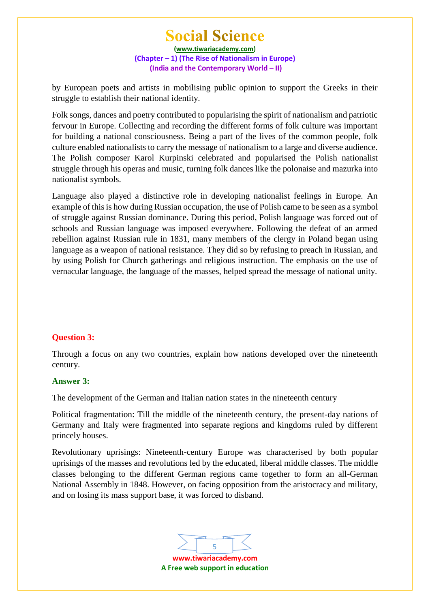**(www.tiwariacademy.com) (Chapter – 1) (The Rise of Nationalism in Europe) (India and the Contemporary World – II)**

by European poets and artists in mobilising public opinion to support the Greeks in their struggle to establish their national identity.

Folk songs, dances and poetry contributed to popularising the spirit of nationalism and patriotic fervour in Europe. Collecting and recording the different forms of folk culture was important for building a national consciousness. Being a part of the lives of the common people, folk culture enabled nationalists to carry the message of nationalism to a large and diverse audience. The Polish composer Karol Kurpinski celebrated and popularised the Polish nationalist struggle through his operas and music, turning folk dances like the polonaise and mazurka into nationalist symbols.

Language also played a distinctive role in developing nationalist feelings in Europe. An example of this is how during Russian occupation, the use of Polish came to be seen as a symbol of struggle against Russian dominance. During this period, Polish language was forced out of schools and Russian language was imposed everywhere. Following the defeat of an armed rebellion against Russian rule in 1831, many members of the clergy in Poland began using language as a weapon of national resistance. They did so by refusing to preach in Russian, and by using Polish for Church gatherings and religious instruction. The emphasis on the use of vernacular language, the language of the masses, helped spread the message of national unity.

#### **Question 3:**

Through a focus on any two countries, explain how nations developed over the nineteenth century.

#### **Answer 3:**

The development of the German and Italian nation states in the nineteenth century

Political fragmentation: Till the middle of the nineteenth century, the present-day nations of Germany and Italy were fragmented into separate regions and kingdoms ruled by different princely houses.

Revolutionary uprisings: Nineteenth-century Europe was characterised by both popular uprisings of the masses and revolutions led by the educated, liberal middle classes. The middle classes belonging to the different German regions came together to form an all-German National Assembly in 1848. However, on facing opposition from the aristocracy and military, and on losing its mass support base, it was forced to disband.

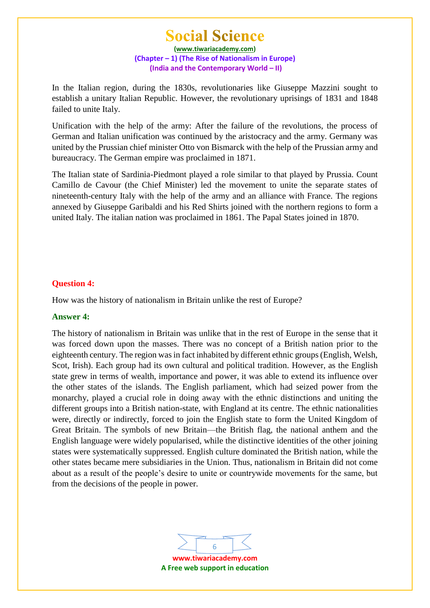**(www.tiwariacademy.com) (Chapter – 1) (The Rise of Nationalism in Europe) (India and the Contemporary World – II)**

In the Italian region, during the 1830s, revolutionaries like Giuseppe Mazzini sought to establish a unitary Italian Republic. However, the revolutionary uprisings of 1831 and 1848 failed to unite Italy.

Unification with the help of the army: After the failure of the revolutions, the process of German and Italian unification was continued by the aristocracy and the army. Germany was united by the Prussian chief minister Otto von Bismarck with the help of the Prussian army and bureaucracy. The German empire was proclaimed in 1871.

The Italian state of Sardinia-Piedmont played a role similar to that played by Prussia. Count Camillo de Cavour (the Chief Minister) led the movement to unite the separate states of nineteenth-century Italy with the help of the army and an alliance with France. The regions annexed by Giuseppe Garibaldi and his Red Shirts joined with the northern regions to form a united Italy. The italian nation was proclaimed in 1861. The Papal States joined in 1870.

#### **Question 4:**

How was the history of nationalism in Britain unlike the rest of Europe?

#### **Answer 4:**

The history of nationalism in Britain was unlike that in the rest of Europe in the sense that it was forced down upon the masses. There was no concept of a British nation prior to the eighteenth century. The region was in fact inhabited by different ethnic groups (English, Welsh, Scot, Irish). Each group had its own cultural and political tradition. However, as the English state grew in terms of wealth, importance and power, it was able to extend its influence over the other states of the islands. The English parliament, which had seized power from the monarchy, played a crucial role in doing away with the ethnic distinctions and uniting the different groups into a British nation-state, with England at its centre. The ethnic nationalities were, directly or indirectly, forced to join the English state to form the United Kingdom of Great Britain. The symbols of new Britain—the British flag, the national anthem and the English language were widely popularised, while the distinctive identities of the other joining states were systematically suppressed. English culture dominated the British nation, while the other states became mere subsidiaries in the Union. Thus, nationalism in Britain did not come about as a result of the people's desire to unite or countrywide movements for the same, but from the decisions of the people in power.